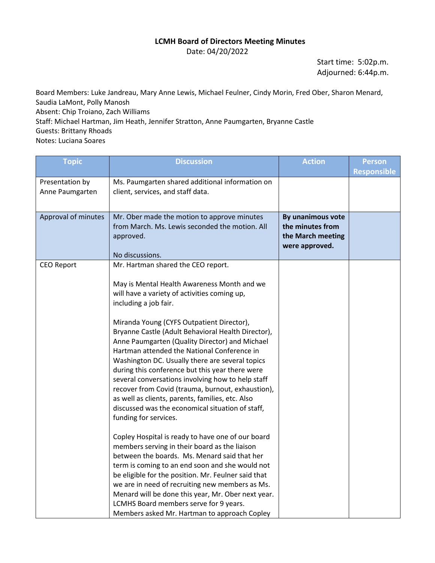## **LCMH Board of Directors Meeting Minutes**

Date: 04/20/2022

Start time: 5:02p.m. Adjourned: 6:44p.m.

Board Members: Luke Jandreau, Mary Anne Lewis, Michael Feulner, Cindy Morin, Fred Ober, Sharon Menard, Saudia LaMont, Polly Manosh Absent: Chip Troiano, Zach Williams Staff: Michael Hartman, Jim Heath, Jennifer Stratton, Anne Paumgarten, Bryanne Castle Guests: Brittany Rhoads Notes: Luciana Soares

| <b>Topic</b>        | <b>Discussion</b>                                                                                  | <b>Action</b>     | <b>Person</b>      |
|---------------------|----------------------------------------------------------------------------------------------------|-------------------|--------------------|
|                     |                                                                                                    |                   | <b>Responsible</b> |
| Presentation by     | Ms. Paumgarten shared additional information on                                                    |                   |                    |
| Anne Paumgarten     | client, services, and staff data.                                                                  |                   |                    |
|                     |                                                                                                    |                   |                    |
| Approval of minutes | Mr. Ober made the motion to approve minutes                                                        | By unanimous vote |                    |
|                     | from March. Ms. Lewis seconded the motion. All                                                     | the minutes from  |                    |
|                     | approved.                                                                                          | the March meeting |                    |
|                     | No discussions.                                                                                    | were approved.    |                    |
| <b>CEO Report</b>   | Mr. Hartman shared the CEO report.                                                                 |                   |                    |
|                     |                                                                                                    |                   |                    |
|                     | May is Mental Health Awareness Month and we                                                        |                   |                    |
|                     | will have a variety of activities coming up,                                                       |                   |                    |
|                     | including a job fair.                                                                              |                   |                    |
|                     |                                                                                                    |                   |                    |
|                     | Miranda Young (CYFS Outpatient Director),                                                          |                   |                    |
|                     | Bryanne Castle (Adult Behavioral Health Director),                                                 |                   |                    |
|                     | Anne Paumgarten (Quality Director) and Michael                                                     |                   |                    |
|                     | Hartman attended the National Conference in<br>Washington DC. Usually there are several topics     |                   |                    |
|                     | during this conference but this year there were                                                    |                   |                    |
|                     | several conversations involving how to help staff                                                  |                   |                    |
|                     | recover from Covid (trauma, burnout, exhaustion),                                                  |                   |                    |
|                     | as well as clients, parents, families, etc. Also                                                   |                   |                    |
|                     | discussed was the economical situation of staff,                                                   |                   |                    |
|                     | funding for services.                                                                              |                   |                    |
|                     |                                                                                                    |                   |                    |
|                     | Copley Hospital is ready to have one of our board<br>members serving in their board as the liaison |                   |                    |
|                     | between the boards. Ms. Menard said that her                                                       |                   |                    |
|                     | term is coming to an end soon and she would not                                                    |                   |                    |
|                     | be eligible for the position. Mr. Feulner said that                                                |                   |                    |
|                     | we are in need of recruiting new members as Ms.                                                    |                   |                    |
|                     | Menard will be done this year, Mr. Ober next year.                                                 |                   |                    |
|                     | LCMHS Board members serve for 9 years.                                                             |                   |                    |
|                     | Members asked Mr. Hartman to approach Copley                                                       |                   |                    |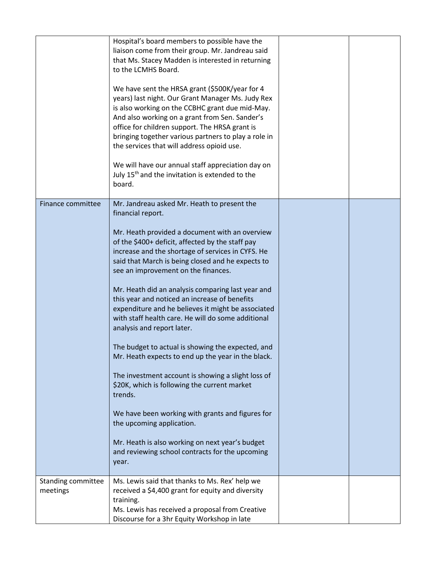|                                | Hospital's board members to possible have the<br>liaison come from their group. Mr. Jandreau said<br>that Ms. Stacey Madden is interested in returning<br>to the LCMHS Board.<br>We have sent the HRSA grant (\$500K/year for 4<br>years) last night. Our Grant Manager Ms. Judy Rex<br>is also working on the CCBHC grant due mid-May.<br>And also working on a grant from Sen. Sander's<br>office for children support. The HRSA grant is<br>bringing together various partners to play a role in<br>the services that will address opioid use.<br>We will have our annual staff appreciation day on<br>July 15 <sup>th</sup> and the invitation is extended to the<br>board.                                                                                                                                                                                                                                                                                                                     |  |
|--------------------------------|-----------------------------------------------------------------------------------------------------------------------------------------------------------------------------------------------------------------------------------------------------------------------------------------------------------------------------------------------------------------------------------------------------------------------------------------------------------------------------------------------------------------------------------------------------------------------------------------------------------------------------------------------------------------------------------------------------------------------------------------------------------------------------------------------------------------------------------------------------------------------------------------------------------------------------------------------------------------------------------------------------|--|
| Finance committee              | Mr. Jandreau asked Mr. Heath to present the<br>financial report.<br>Mr. Heath provided a document with an overview<br>of the \$400+ deficit, affected by the staff pay<br>increase and the shortage of services in CYFS. He<br>said that March is being closed and he expects to<br>see an improvement on the finances.<br>Mr. Heath did an analysis comparing last year and<br>this year and noticed an increase of benefits<br>expenditure and he believes it might be associated<br>with staff health care. He will do some additional<br>analysis and report later.<br>The budget to actual is showing the expected, and<br>Mr. Heath expects to end up the year in the black.<br>The investment account is showing a slight loss of<br>\$20K, which is following the current market<br>trends.<br>We have been working with grants and figures for<br>the upcoming application.<br>Mr. Heath is also working on next year's budget<br>and reviewing school contracts for the upcoming<br>year. |  |
| Standing committee<br>meetings | Ms. Lewis said that thanks to Ms. Rex' help we<br>received a \$4,400 grant for equity and diversity<br>training.<br>Ms. Lewis has received a proposal from Creative<br>Discourse for a 3hr Equity Workshop in late                                                                                                                                                                                                                                                                                                                                                                                                                                                                                                                                                                                                                                                                                                                                                                                  |  |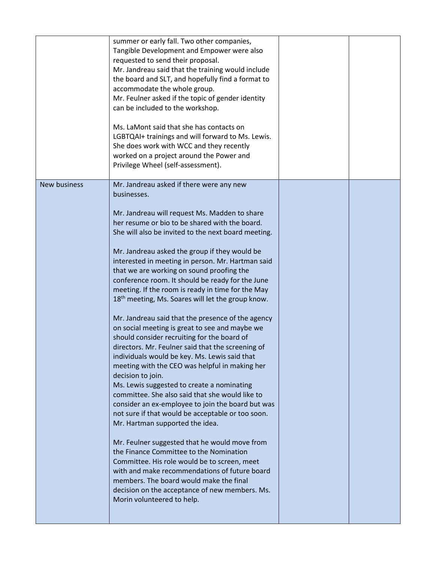|                     | summer or early fall. Two other companies,<br>Tangible Development and Empower were also<br>requested to send their proposal.<br>Mr. Jandreau said that the training would include<br>the board and SLT, and hopefully find a format to<br>accommodate the whole group.<br>Mr. Feulner asked if the topic of gender identity<br>can be included to the workshop.<br>Ms. LaMont said that she has contacts on<br>LGBTQAI+ trainings and will forward to Ms. Lewis.<br>She does work with WCC and they recently<br>worked on a project around the Power and<br>Privilege Wheel (self-assessment).                                                                                                                                                                                                                                                                                                                                                                                                                                                                                                                                                                                                                                                                                                                                                                                                                                                         |  |
|---------------------|---------------------------------------------------------------------------------------------------------------------------------------------------------------------------------------------------------------------------------------------------------------------------------------------------------------------------------------------------------------------------------------------------------------------------------------------------------------------------------------------------------------------------------------------------------------------------------------------------------------------------------------------------------------------------------------------------------------------------------------------------------------------------------------------------------------------------------------------------------------------------------------------------------------------------------------------------------------------------------------------------------------------------------------------------------------------------------------------------------------------------------------------------------------------------------------------------------------------------------------------------------------------------------------------------------------------------------------------------------------------------------------------------------------------------------------------------------|--|
| <b>New business</b> | Mr. Jandreau asked if there were any new<br>businesses.<br>Mr. Jandreau will request Ms. Madden to share<br>her resume or bio to be shared with the board.<br>She will also be invited to the next board meeting.<br>Mr. Jandreau asked the group if they would be<br>interested in meeting in person. Mr. Hartman said<br>that we are working on sound proofing the<br>conference room. It should be ready for the June<br>meeting. If the room is ready in time for the May<br>18 <sup>th</sup> meeting, Ms. Soares will let the group know.<br>Mr. Jandreau said that the presence of the agency<br>on social meeting is great to see and maybe we<br>should consider recruiting for the board of<br>directors. Mr. Feulner said that the screening of<br>individuals would be key. Ms. Lewis said that<br>meeting with the CEO was helpful in making her<br>decision to join.<br>Ms. Lewis suggested to create a nominating<br>committee. She also said that she would like to<br>consider an ex-employee to join the board but was<br>not sure if that would be acceptable or too soon.<br>Mr. Hartman supported the idea.<br>Mr. Feulner suggested that he would move from<br>the Finance Committee to the Nomination<br>Committee. His role would be to screen, meet<br>with and make recommendations of future board<br>members. The board would make the final<br>decision on the acceptance of new members. Ms.<br>Morin volunteered to help. |  |